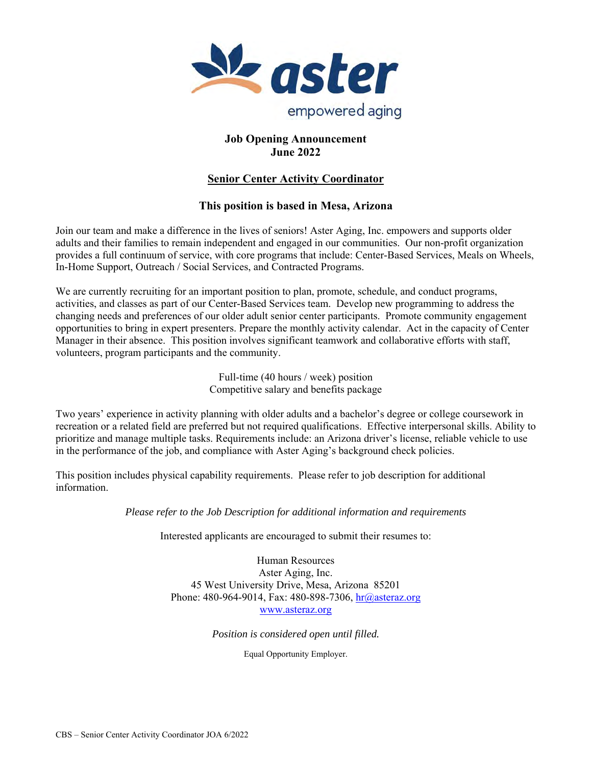

## **Job Opening Announcement June 2022**

# **Senior Center Activity Coordinator**

## **This position is based in Mesa, Arizona**

Join our team and make a difference in the lives of seniors! Aster Aging, Inc. empowers and supports older adults and their families to remain independent and engaged in our communities. Our non-profit organization provides a full continuum of service, with core programs that include: Center-Based Services, Meals on Wheels, In-Home Support, Outreach / Social Services, and Contracted Programs.

We are currently recruiting for an important position to plan, promote, schedule, and conduct programs, activities, and classes as part of our Center-Based Services team. Develop new programming to address the changing needs and preferences of our older adult senior center participants. Promote community engagement opportunities to bring in expert presenters. Prepare the monthly activity calendar. Act in the capacity of Center Manager in their absence. This position involves significant teamwork and collaborative efforts with staff, volunteers, program participants and the community.

> Full-time (40 hours / week) position Competitive salary and benefits package

Two years' experience in activity planning with older adults and a bachelor's degree or college coursework in recreation or a related field are preferred but not required qualifications. Effective interpersonal skills. Ability to prioritize and manage multiple tasks. Requirements include: an Arizona driver's license, reliable vehicle to use in the performance of the job, and compliance with Aster Aging's background check policies.

This position includes physical capability requirements. Please refer to job description for additional information.

*Please refer to the Job Description for additional information and requirements* 

Interested applicants are encouraged to submit their resumes to:

Human Resources Aster Aging, Inc. 45 West University Drive, Mesa, Arizona 85201 Phone: 480-964-9014, Fax: 480-898-7306, hr@asteraz.org www.asteraz.org

*Position is considered open until filled.* 

Equal Opportunity Employer.